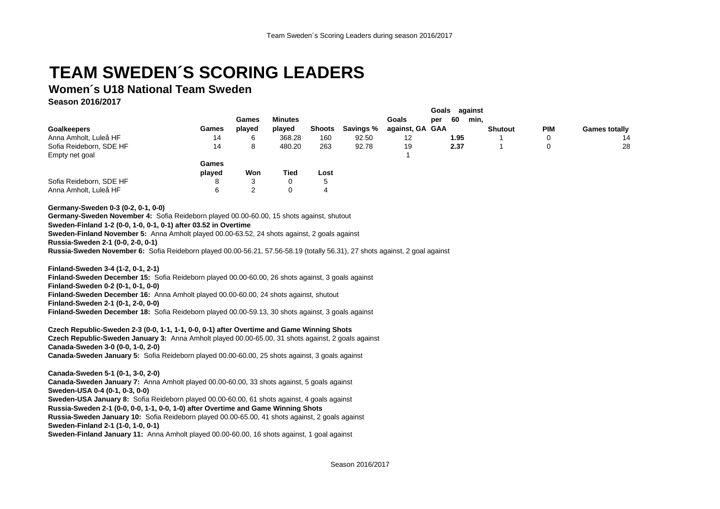## **TEAM SWEDEN´S SCORING LEADERS**

## **Women´s U18 National Team Sweden**

**Season 2016/2017**

|                         |        | Games  | <b>Minutes</b> |        |           | <b>Goals</b>    | per | 60   | min,           |            |                      |
|-------------------------|--------|--------|----------------|--------|-----------|-----------------|-----|------|----------------|------------|----------------------|
| <b>Goalkeepers</b>      | Games  | played | played         | Shoots | Savings % | against, GA GAA |     |      | <b>Shutout</b> | <b>PIM</b> | <b>Games totally</b> |
| Anna Amholt, Luleå HF   | 14     | 6      | 368.28         | 160    | 92.50     | 12              |     | 1.95 |                | 0          | 14                   |
| Sofia Reideborn, SDE HF | 14     | 8      | 480.20         | 263    | 92.78     | 19              |     | 2.37 |                |            | 28                   |
| Empty net goal          |        |        |                |        |           |                 |     |      |                |            |                      |
|                         | Games  |        |                |        |           |                 |     |      |                |            |                      |
|                         | played | Won    | <b>Tied</b>    | Lost   |           |                 |     |      |                |            |                      |
| Sofia Reideborn, SDE HF | 8      | 3      | 0              | 5      |           |                 |     |      |                |            |                      |
| Anna Amholt, Luleå HF   | 6      | 2      | 0              | 4      |           |                 |     |      |                |            |                      |

**Germany-Sweden 0-3 (0-2, 0-1, 0-0)**

**Germany-Sweden November 4:** Sofia Reideborn played 00.00-60.00, 15 shots against, shutout

**Sweden-Finland 1-2 (0-0, 1-0, 0-1, 0-1) after 03.52 in Overtime**

**Sweden-Finland November 5:** Anna Amholt played 00.00-63.52, 24 shots against, 2 goals against

**Russia-Sweden 2-1 (0-0, 2-0, 0-1)**

**Russia-Sweden November 6:** Sofia Reideborn played 00.00-56.21, 57.56-58.19 (totally 56.31), 27 shots against, 2 goal against

**Finland-Sweden 3-4 (1-2, 0-1, 2-1)**

**Finland-Sweden December 15:** Sofia Reideborn played 00.00-60.00, 26 shots against, 3 goals against

**Finland-Sweden 0-2 (0-1, 0-1, 0-0)**

**Finland-Sweden December 16:** Anna Amholt played 00.00-60.00, 24 shots against, shutout

**Finland-Sweden 2-1 (0-1, 2-0, 0-0)**

**Finland-Sweden December 18:** Sofia Reideborn played 00.00-59.13, 30 shots against, 3 goals against

**Czech Republic-Sweden 2-3 (0-0, 1-1, 1-1, 0-0, 0-1) after Overtime and Game Winning Shots Czech Republic-Sweden January 3:** Anna Amholt played 00.00-65.00, 31 shots against, 2 goals against **Canada-Sweden 3-0 (0-0, 1-0, 2-0) Canada-Sweden January 5:** Sofia Reideborn played 00.00-60.00, 25 shots against, 3 goals against

**Canada-Sweden 5-1 (0-1, 3-0, 2-0) Canada-Sweden January 7:** Anna Amholt played 00.00-60.00, 33 shots against, 5 goals against **Sweden-USA 0-4 (0-1, 0-3, 0-0) Sweden-USA January 8:** Sofia Reideborn played 00.00-60.00, 61 shots against, 4 goals against **Russia-Sweden 2-1 (0-0, 0-0, 1-1, 0-0, 1-0) after Overtime and Game Winning Shots Russia-Sweden January 10:** Sofia Reideborn played 00.00-65.00, 41 shots against, 2 goals against **Sweden-Finland 2-1 (1-0, 1-0, 0-1)**

**Sweden-Finland January 11:** Anna Amholt played 00.00-60.00, 16 shots against, 1 goal against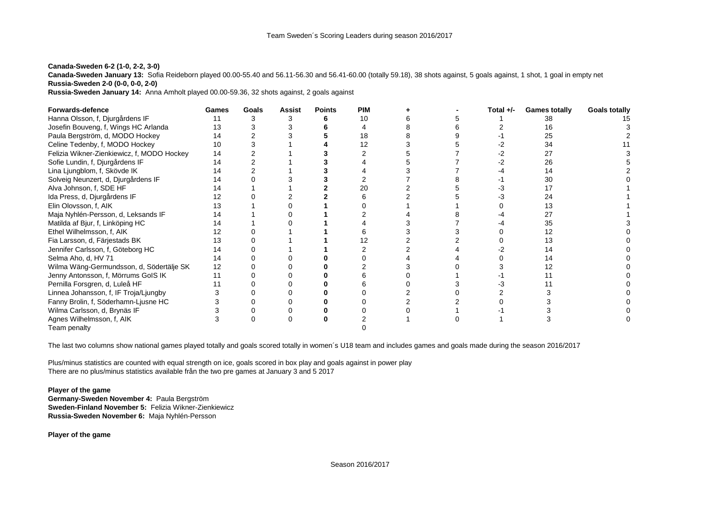## **Canada-Sweden 6-2 (1-0, 2-2, 3-0)**

**Canada-Sweden January 13:** Sofia Reideborn played 00.00-55.40 and 56.11-56.30 and 56.41-60.00 (totally 59.18), 38 shots against, 5 goals against, 1 shot, 1 goal in empty net **Russia-Sweden 2-0 (0-0, 0-0, 2-0)**

**Russia-Sweden January 14:** Anna Amholt played 00.00-59.36, 32 shots against, 2 goals against

| <b>Forwards-defence</b>                    | Games | Goals | Assist | <b>Points</b> | <b>PIM</b> |  | Total $+/-$ | <b>Games totally</b> | <b>Goals totally</b> |
|--------------------------------------------|-------|-------|--------|---------------|------------|--|-------------|----------------------|----------------------|
| Hanna Olsson, f, Djurgårdens IF            |       |       |        |               | 10         |  |             |                      |                      |
| Josefin Bouveng, f, Wings HC Arlanda       | 13    |       |        |               |            |  |             | 16                   |                      |
| Paula Bergström, d, MODO Hockey            | 14    |       |        |               |            |  |             | 25                   |                      |
| Celine Tedenby, f, MODO Hockey             | 10    |       |        |               |            |  |             | 34                   |                      |
| Felizia Wikner-Zienkiewicz, f, MODO Hockey | 14    |       |        |               |            |  |             |                      |                      |
| Sofie Lundin, f, Djurgårdens IF            | 14    |       |        |               |            |  |             | 26                   |                      |
| Lina Ljungblom, f, Skövde IK               | 14    |       |        |               |            |  |             | 14                   |                      |
| Solveig Neunzert, d, Djurgårdens IF        | 14    |       |        |               |            |  |             | 30                   |                      |
| Alva Johnson, f, SDE HF                    |       |       |        |               | 20         |  |             |                      |                      |
| Ida Press, d, Djurgårdens IF               | 12    |       |        |               |            |  |             |                      |                      |
| Elin Olovsson, f, AIK                      | 13    |       |        |               |            |  |             |                      |                      |
| Maja Nyhlén-Persson, d, Leksands IF        | 14    |       |        |               |            |  |             |                      |                      |
| Matilda af Bjur, f, Linköping HC           | 14    |       |        |               |            |  |             | 35                   |                      |
| Ethel Wilhelmsson, f, AIK                  | 12    |       |        |               |            |  |             |                      |                      |
| Fia Larsson, d, Färjestads BK              | 13    |       |        |               |            |  |             | 13                   |                      |
| Jennifer Carlsson, f, Göteborg HC          | 14    |       |        |               |            |  |             |                      |                      |
| Selma Aho, d, HV 71                        | 14    |       |        |               |            |  |             |                      |                      |
| Wilma Wäng-Germundsson, d, Södertälje SK   | 12    |       |        |               |            |  |             |                      |                      |
| Jenny Antonsson, f, Mörrums GoIS IK        |       |       |        |               |            |  |             |                      |                      |
| Pernilla Forsgren, d, Luleå HF             |       |       |        |               |            |  |             |                      |                      |
| Linnea Johansson, f, IF Troja/Ljungby      |       |       |        |               |            |  |             |                      |                      |
| Fanny Brolin, f, Söderhamn-Ljusne HC       |       |       |        |               |            |  |             |                      |                      |
| Wilma Carlsson, d, Brynäs IF               |       |       |        |               |            |  |             |                      |                      |
| Agnes Wilhelmsson, f, AIK                  |       |       |        |               |            |  |             |                      |                      |
| Team penalty                               |       |       |        |               |            |  |             |                      |                      |

The last two columns show national games played totally and goals scored totally in women´s U18 team and includes games and goals made during the season 2016/2017

Plus/minus statistics are counted with equal strength on ice, goals scored in box play and goals against in power play There are no plus/minus statistics available från the two pre games at January 3 and 5 2017

## **Player of the game Germany-Sweden November 4:** Paula Bergström **Sweden-Finland November 5:** Felizia Wikner-Zienkiewicz **Russia-Sweden November 6:** Maja Nyhlén-Persson

**Player of the game**